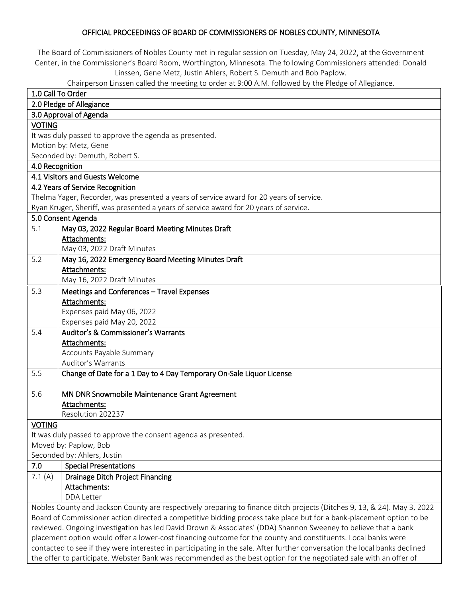### OFFICIAL PROCEEDINGS OF BOARD OF COMMISSIONERS OF NOBLES COUNTY, MINNESOTA

The Board of Commissioners of Nobles County met in regular session on Tuesday, May 24, 2022, at the Government Center, in the Commissioner's Board Room, Worthington, Minnesota. The following Commissioners attended: Donald Linssen, Gene Metz, Justin Ahlers, Robert S. Demuth and Bob Paplow.

Chairperson Linssen called the meeting to order at 9:00 A.M. followed by the Pledge of Allegiance.

| 1.0 Call To Order                                                                                                          |                                                                                                                    |  |
|----------------------------------------------------------------------------------------------------------------------------|--------------------------------------------------------------------------------------------------------------------|--|
| 2.0 Pledge of Allegiance                                                                                                   |                                                                                                                    |  |
| 3.0 Approval of Agenda                                                                                                     |                                                                                                                    |  |
| <b>VOTING</b>                                                                                                              |                                                                                                                    |  |
|                                                                                                                            | It was duly passed to approve the agenda as presented.                                                             |  |
|                                                                                                                            | Motion by: Metz, Gene                                                                                              |  |
|                                                                                                                            | Seconded by: Demuth, Robert S.                                                                                     |  |
| 4.0 Recognition                                                                                                            |                                                                                                                    |  |
|                                                                                                                            | 4.1 Visitors and Guests Welcome                                                                                    |  |
|                                                                                                                            | 4.2 Years of Service Recognition                                                                                   |  |
|                                                                                                                            | Thelma Yager, Recorder, was presented a years of service award for 20 years of service.                            |  |
|                                                                                                                            | Ryan Kruger, Sheriff, was presented a years of service award for 20 years of service.                              |  |
|                                                                                                                            | 5.0 Consent Agenda                                                                                                 |  |
|                                                                                                                            |                                                                                                                    |  |
| 5.1                                                                                                                        | May 03, 2022 Regular Board Meeting Minutes Draft                                                                   |  |
|                                                                                                                            | Attachments:                                                                                                       |  |
| 5.2                                                                                                                        | May 03, 2022 Draft Minutes                                                                                         |  |
|                                                                                                                            | May 16, 2022 Emergency Board Meeting Minutes Draft                                                                 |  |
|                                                                                                                            | Attachments:                                                                                                       |  |
|                                                                                                                            | May 16, 2022 Draft Minutes                                                                                         |  |
| 5.3                                                                                                                        | Meetings and Conferences - Travel Expenses                                                                         |  |
|                                                                                                                            | Attachments:                                                                                                       |  |
|                                                                                                                            | Expenses paid May 06, 2022                                                                                         |  |
|                                                                                                                            | Expenses paid May 20, 2022                                                                                         |  |
| 5.4                                                                                                                        | Auditor's & Commissioner's Warrants                                                                                |  |
|                                                                                                                            | Attachments:                                                                                                       |  |
|                                                                                                                            | Accounts Payable Summary                                                                                           |  |
|                                                                                                                            | Auditor's Warrants                                                                                                 |  |
| 5.5                                                                                                                        | Change of Date for a 1 Day to 4 Day Temporary On-Sale Liquor License                                               |  |
| 5.6                                                                                                                        | MN DNR Snowmobile Maintenance Grant Agreement                                                                      |  |
|                                                                                                                            | Attachments:                                                                                                       |  |
|                                                                                                                            | Resolution 202237                                                                                                  |  |
| <b>VOTING</b>                                                                                                              |                                                                                                                    |  |
|                                                                                                                            | It was duly passed to approve the consent agenda as presented.                                                     |  |
|                                                                                                                            | Moved by: Paplow, Bob                                                                                              |  |
|                                                                                                                            | Seconded by: Ahlers, Justin                                                                                        |  |
| 7.0                                                                                                                        | <b>Special Presentations</b>                                                                                       |  |
|                                                                                                                            |                                                                                                                    |  |
| 7.1(A)                                                                                                                     | <b>Drainage Ditch Project Financing</b>                                                                            |  |
|                                                                                                                            | Attachments:<br>DDA Letter                                                                                         |  |
|                                                                                                                            |                                                                                                                    |  |
| Nobles County and Jackson County are respectively preparing to finance ditch projects (Ditches 9, 13, & 24). May 3, 2022   |                                                                                                                    |  |
| Board of Commissioner action directed a competitive bidding process take place but for a bank-placement option to be       |                                                                                                                    |  |
| reviewed. Ongoing investigation has led David Drown & Associates' (DDA) Shannon Sweeney to believe that a bank             |                                                                                                                    |  |
| placement option would offer a lower-cost financing outcome for the county and constituents. Local banks were              |                                                                                                                    |  |
| contacted to see if they were interested in participating in the sale. After further conversation the local banks declined |                                                                                                                    |  |
|                                                                                                                            | the offer to participate. Webster Bank was recommended as the best option for the negotiated sale with an offer of |  |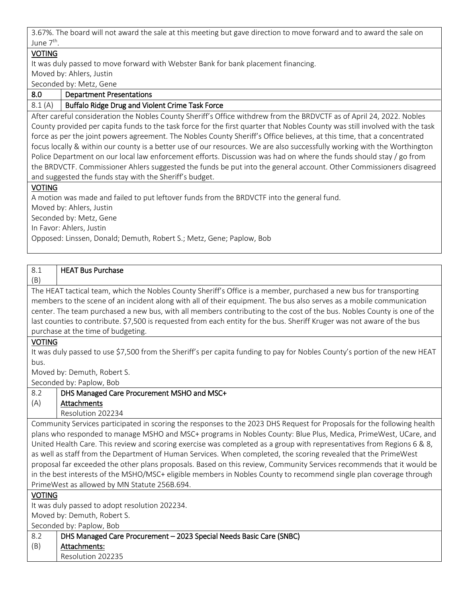3.67%. The board will not award the sale at this meeting but gave direction to move forward and to award the sale on June 7<sup>th</sup>.

# VOTING

It was duly passed to move forward with Webster Bank for bank placement financing. Moved by: Ahlers, Justin

Seconded by: Metz, Gene

| 8.0 | <b>Department Presentations</b> |  |
|-----|---------------------------------|--|
|     |                                 |  |

8.1 (A) Buffalo Ridge Drug and Violent Crime Task Force

After careful consideration the Nobles County Sheriff's Office withdrew from the BRDVCTF as of April 24, 2022. Nobles County provided per capita funds to the task force for the first quarter that Nobles County was still involved with the task force as per the joint powers agreement. The Nobles County Sheriff's Office believes, at this time, that a concentrated focus locally & within our county is a better use of our resources. We are also successfully working with the Worthington Police Department on our local law enforcement efforts. Discussion was had on where the funds should stay / go from the BRDVCTF. Commissioner Ahlers suggested the funds be put into the general account. Other Commissioners disagreed and suggested the funds stay with the Sheriff's budget.

# **VOTING**

A motion was made and failed to put leftover funds from the BRDVCTF into the general fund. Moved by: Ahlers, Justin Seconded by: Metz, Gene In Favor: Ahlers, Justin Opposed: Linssen, Donald; Demuth, Robert S.; Metz, Gene; Paplow, Bob

| 8.1                                                                                                                                                                                                                                         | <b>HEAT Bus Purchase</b>                                                                                                   |
|---------------------------------------------------------------------------------------------------------------------------------------------------------------------------------------------------------------------------------------------|----------------------------------------------------------------------------------------------------------------------------|
| (B)                                                                                                                                                                                                                                         |                                                                                                                            |
| The HEAT tactical team, which the Nobles County Sheriff's Office is a member, purchased a new bus for transporting                                                                                                                          |                                                                                                                            |
| members to the scene of an incident along with all of their equipment. The bus also serves as a mobile communication                                                                                                                        |                                                                                                                            |
| center. The team purchased a new bus, with all members contributing to the cost of the bus. Nobles County is one of the                                                                                                                     |                                                                                                                            |
| last counties to contribute. \$7,500 is requested from each entity for the bus. Sheriff Kruger was not aware of the bus                                                                                                                     |                                                                                                                            |
|                                                                                                                                                                                                                                             | purchase at the time of budgeting.                                                                                         |
| <b>VOTING</b>                                                                                                                                                                                                                               |                                                                                                                            |
|                                                                                                                                                                                                                                             | It was duly passed to use \$7,500 from the Sheriff's per capita funding to pay for Nobles County's portion of the new HEAT |
| bus.                                                                                                                                                                                                                                        |                                                                                                                            |
|                                                                                                                                                                                                                                             | Moved by: Demuth, Robert S.                                                                                                |
|                                                                                                                                                                                                                                             | Seconded by: Paplow, Bob                                                                                                   |
| 8.2                                                                                                                                                                                                                                         | DHS Managed Care Procurement MSHO and MSC+                                                                                 |
| (A)                                                                                                                                                                                                                                         | Attachments                                                                                                                |
|                                                                                                                                                                                                                                             | Resolution 202234                                                                                                          |
| Community Services participated in scoring the responses to the 2023 DHS Request for Proposals for the following health                                                                                                                     |                                                                                                                            |
| plans who responded to manage MSHO and MSC+ programs in Nobles County: Blue Plus, Medica, PrimeWest, UCare, and                                                                                                                             |                                                                                                                            |
| United Health Care. This review and scoring exercise was completed as a group with representatives from Regions 6 & 8,                                                                                                                      |                                                                                                                            |
| as well as staff from the Department of Human Services. When completed, the scoring revealed that the PrimeWest                                                                                                                             |                                                                                                                            |
| proposal far exceeded the other plans proposals. Based on this review, Community Services recommends that it would be<br>in the best interests of the MSHO/MSC+ eligible members in Nobles County to recommend single plan coverage through |                                                                                                                            |
| PrimeWest as allowed by MN Statute 256B.694.                                                                                                                                                                                                |                                                                                                                            |
| <b>VOTING</b>                                                                                                                                                                                                                               |                                                                                                                            |
| It was duly passed to adopt resolution 202234.                                                                                                                                                                                              |                                                                                                                            |
| Moved by: Demuth, Robert S.                                                                                                                                                                                                                 |                                                                                                                            |
| Seconded by: Paplow, Bob                                                                                                                                                                                                                    |                                                                                                                            |
| 8.2                                                                                                                                                                                                                                         | DHS Managed Care Procurement - 2023 Special Needs Basic Care (SNBC)                                                        |
| (B)                                                                                                                                                                                                                                         | Attachments:                                                                                                               |
|                                                                                                                                                                                                                                             | Resolution 202235                                                                                                          |
|                                                                                                                                                                                                                                             |                                                                                                                            |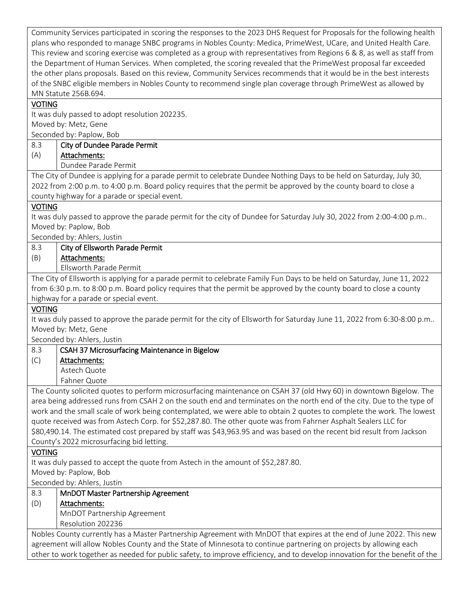Community Services participated in scoring the responses to the 2023 DHS Request for Proposals for the following health plans who responded to manage SNBC programs in Nobles County: Medica, PrimeWest, UCare, and United Health Care. This review and scoring exercise was completed as a group with representatives from Regions 6 & 8, as well as staff from the Department of Human Services. When completed, the scoring revealed that the PrimeWest proposal far exceeded the other plans proposals. Based on this review, Community Services recommends that it would be in the best interests of the SNBC eligible members in Nobles County to recommend single plan coverage through PrimeWest as allowed by MN Statute 256B.694. VOTING It was duly passed to adopt resolution 202235.

Moved by: Metz, Gene Seconded by: Paplow, Bob  $0.2<sub>0</sub>$ City of Dundee Parade Permit

| 8.3                                                                                                                  | City of Dundee Parade Permit |
|----------------------------------------------------------------------------------------------------------------------|------------------------------|
| (A)                                                                                                                  | Attachments:                 |
|                                                                                                                      | Dundee Parade Permit         |
| The City of Dundee is applying for a parade permit to celebrate Dundee Nothing Days to be held on Saturday, July 30, |                              |
| 2022 from 2:00 p.m. to 4:00 p.m. Board policy requires that the permit be approved by the county board to close a    |                              |
| county highway for a parade or special event.                                                                        |                              |
| <b>VOTING</b>                                                                                                        |                              |

### VOTING

It was duly passed to approve the parade permit for the city of Dundee for Saturday July 30, 2022 from 2:00-4:00 p.m.. Moved by: Paplow, Bob

Seconded by: Ahlers, Justin

| 8.3<br>City of Ellsworth Parade Permit                                                                                      |  |
|-----------------------------------------------------------------------------------------------------------------------------|--|
| (B)<br>Attachments:                                                                                                         |  |
| Ellsworth Parade Permit                                                                                                     |  |
| The City of Ellsworth is applying for a parade permit to celebrate Family Fun Days to be held on Saturday, June 11, 2022    |  |
| from 6:30 p.m. to 8:00 p.m. Board policy requires that the permit be approved by the county board to close a county         |  |
| highway for a parade or special event.                                                                                      |  |
| <b>VOTING</b>                                                                                                               |  |
| It was duly passed to approve the parade permit for the city of Ellsworth for Saturday June 11, 2022 from 6:30-8:00 p.m     |  |
| Moved by: Metz, Gene                                                                                                        |  |
| Seconded by: Ahlers, Justin                                                                                                 |  |
| CSAH 37 Microsurfacing Maintenance in Bigelow<br>8.3                                                                        |  |
| Attachments:<br>(C)                                                                                                         |  |
| Astech Quote                                                                                                                |  |
| Fahner Quote                                                                                                                |  |
| The County solicited quotes to perform microsurfacing maintenance on CSAH 37 (old Hwy 60) in downtown Bigelow. The          |  |
| area being addressed runs from CSAH 2 on the south end and terminates on the north end of the city. Due to the type of      |  |
| work and the small scale of work being contemplated, we were able to obtain 2 quotes to complete the work. The lowest       |  |
| quote received was from Astech Corp. for \$52,287.80. The other quote was from Fahrner Asphalt Sealers LLC for              |  |
| \$80,490.14. The estimated cost prepared by staff was \$43,963.95 and was based on the recent bid result from Jackson       |  |
| County's 2022 microsurfacing bid letting.                                                                                   |  |
| <b>VOTING</b>                                                                                                               |  |
| It was duly passed to accept the quote from Astech in the amount of \$52,287.80.                                            |  |
| Moved by: Paplow, Bob                                                                                                       |  |
| Seconded by: Ahlers, Justin                                                                                                 |  |
| 8.3<br>MnDOT Master Partnership Agreement                                                                                   |  |
| (D)<br>Attachments:                                                                                                         |  |
| MnDOT Partnership Agreement                                                                                                 |  |
| Resolution 202236                                                                                                           |  |
| Nobles County currently has a Master Partnership Agreement with MnDOT that expires at the end of June 2022. This new        |  |
| agreement will allow Nobles County and the State of Minnesota to continue partnering on projects by allowing each           |  |
| other to work together as needed for public safety, to improve efficiency, and to develop innovation for the benefit of the |  |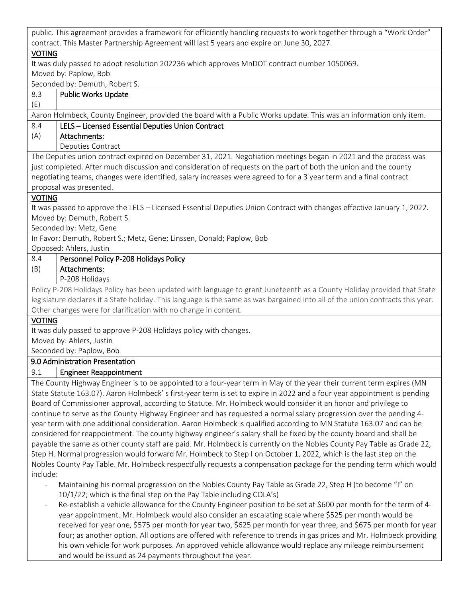public. This agreement provides a framework for efficiently handling requests to work together through a "Work Order" contract. This Master Partnership Agreement will last 5 years and expire on June 30, 2027.

# VOTING

It was duly passed to adopt resolution 202236 which approves MnDOT contract number 1050069. Moved by: Paplow, Bob

Seconded by: Demuth, Robert S.

| 8.3                                                                                                                 | <b>Public Works Update</b>                                                                                                     |  |
|---------------------------------------------------------------------------------------------------------------------|--------------------------------------------------------------------------------------------------------------------------------|--|
| (E)                                                                                                                 |                                                                                                                                |  |
|                                                                                                                     | Aaron Holmbeck, County Engineer, provided the board with a Public Works update. This was an information only item.             |  |
| 8.4                                                                                                                 | LELS - Licensed Essential Deputies Union Contract                                                                              |  |
| (A)                                                                                                                 | Attachments:                                                                                                                   |  |
|                                                                                                                     | Deputies Contract                                                                                                              |  |
|                                                                                                                     | The Deputies union contract expired on December 31, 2021. Negotiation meetings began in 2021 and the process was               |  |
|                                                                                                                     | just completed. After much discussion and consideration of requests on the part of both the union and the county               |  |
|                                                                                                                     | negotiating teams, changes were identified, salary increases were agreed to for a 3 year term and a final contract             |  |
|                                                                                                                     | proposal was presented.                                                                                                        |  |
| <b>VOTING</b>                                                                                                       |                                                                                                                                |  |
|                                                                                                                     | It was passed to approve the LELS - Licensed Essential Deputies Union Contract with changes effective January 1, 2022.         |  |
|                                                                                                                     | Moved by: Demuth, Robert S.                                                                                                    |  |
|                                                                                                                     | Seconded by: Metz, Gene                                                                                                        |  |
|                                                                                                                     | In Favor: Demuth, Robert S.; Metz, Gene; Linssen, Donald; Paplow, Bob                                                          |  |
|                                                                                                                     | Opposed: Ahlers, Justin                                                                                                        |  |
| 8.4                                                                                                                 | Personnel Policy P-208 Holidays Policy                                                                                         |  |
| (B)                                                                                                                 | Attachments:                                                                                                                   |  |
|                                                                                                                     | P-208 Holidays                                                                                                                 |  |
|                                                                                                                     | Policy P-208 Holidays Policy has been updated with language to grant Juneteenth as a County Holiday provided that State        |  |
|                                                                                                                     | legislature declares it a State holiday. This language is the same as was bargained into all of the union contracts this year. |  |
|                                                                                                                     | Other changes were for clarification with no change in content.                                                                |  |
| <b>VOTING</b>                                                                                                       |                                                                                                                                |  |
|                                                                                                                     | It was duly passed to approve P-208 Holidays policy with changes.                                                              |  |
|                                                                                                                     | Moved by: Ahlers, Justin                                                                                                       |  |
| Seconded by: Paplow, Bob                                                                                            |                                                                                                                                |  |
|                                                                                                                     | 9.0 Administration Presentation                                                                                                |  |
| 9.1                                                                                                                 | <b>Engineer Reappointment</b>                                                                                                  |  |
|                                                                                                                     | The County Highway Engineer is to be appointed to a four-year term in May of the year their current term expires (MN           |  |
|                                                                                                                     | State Statute 163.07). Aaron Holmbeck' s first-year term is set to expire in 2022 and a four year appointment is pending       |  |
|                                                                                                                     | Board of Commissioner approval, according to Statute. Mr. Holmbeck would consider it an honor and privilege to                 |  |
|                                                                                                                     | continue to serve as the County Highway Engineer and has requested a normal salary progression over the pending 4-             |  |
|                                                                                                                     | year term with one additional consideration. Aaron Holmbeck is qualified according to MN Statute 163.07 and can be             |  |
|                                                                                                                     | considered for reappointment. The county highway engineer's salary shall be fixed by the county board and shall be             |  |
|                                                                                                                     | payable the same as other county staff are paid. Mr. Holmbeck is currently on the Nobles County Pay Table as Grade 22,         |  |
| Step H. Normal progression would forward Mr. Holmbeck to Step I on October 1, 2022, which is the last step on the   |                                                                                                                                |  |
| Nobles County Pay Table. Mr. Holmbeck respectfully requests a compensation package for the pending term which would |                                                                                                                                |  |
| include:                                                                                                            |                                                                                                                                |  |
| L,                                                                                                                  | Maintaining his normal progression on the Nobles County Pay Table as Grade 22, Step H (to become "I" on                        |  |
|                                                                                                                     | 10/1/22; which is the final step on the Pay Table including COLA's)                                                            |  |
|                                                                                                                     | Be establish a vehicle allowance for the County Engineer position to be set at \$600 per menth for the term of $\Lambda$       |  |

Re-establish a vehicle allowance for the County Engineer position to be set at \$600 per month for the term of 4year appointment. Mr. Holmbeck would also consider an escalating scale where \$525 per month would be received for year one, \$575 per month for year two, \$625 per month for year three, and \$675 per month for year four; as another option. All options are offered with reference to trends in gas prices and Mr. Holmbeck providing his own vehicle for work purposes. An approved vehicle allowance would replace any mileage reimbursement and would be issued as 24 payments throughout the year.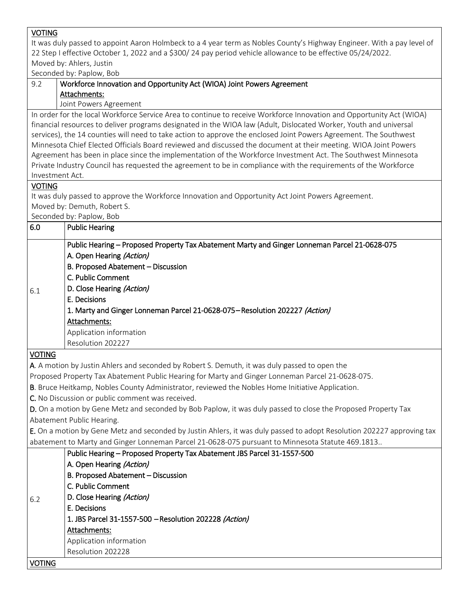| <b>VOTING</b>                                                                                                          |                                                                                                                                                                                                                                      |  |
|------------------------------------------------------------------------------------------------------------------------|--------------------------------------------------------------------------------------------------------------------------------------------------------------------------------------------------------------------------------------|--|
| It was duly passed to appoint Aaron Holmbeck to a 4 year term as Nobles County's Highway Engineer. With a pay level of |                                                                                                                                                                                                                                      |  |
| 22 Step I effective October 1, 2022 and a \$300/24 pay period vehicle allowance to be effective 05/24/2022.            |                                                                                                                                                                                                                                      |  |
| Moved by: Ahlers, Justin                                                                                               |                                                                                                                                                                                                                                      |  |
|                                                                                                                        | Seconded by: Paplow, Bob                                                                                                                                                                                                             |  |
| 9.2                                                                                                                    | Workforce Innovation and Opportunity Act (WIOA) Joint Powers Agreement                                                                                                                                                               |  |
|                                                                                                                        | Attachments:                                                                                                                                                                                                                         |  |
|                                                                                                                        | Joint Powers Agreement                                                                                                                                                                                                               |  |
|                                                                                                                        | In order for the local Workforce Service Area to continue to receive Workforce Innovation and Opportunity Act (WIOA)                                                                                                                 |  |
|                                                                                                                        | financial resources to deliver programs designated in the WIOA law (Adult, Dislocated Worker, Youth and universal                                                                                                                    |  |
|                                                                                                                        | services), the 14 counties will need to take action to approve the enclosed Joint Powers Agreement. The Southwest<br>Minnesota Chief Elected Officials Board reviewed and discussed the document at their meeting. WIOA Joint Powers |  |
|                                                                                                                        | Agreement has been in place since the implementation of the Workforce Investment Act. The Southwest Minnesota                                                                                                                        |  |
|                                                                                                                        |                                                                                                                                                                                                                                      |  |
|                                                                                                                        | Private Industry Council has requested the agreement to be in compliance with the requirements of the Workforce<br>Investment Act.                                                                                                   |  |
| <b>VOTING</b>                                                                                                          |                                                                                                                                                                                                                                      |  |
|                                                                                                                        | It was duly passed to approve the Workforce Innovation and Opportunity Act Joint Powers Agreement.                                                                                                                                   |  |
|                                                                                                                        | Moved by: Demuth, Robert S.                                                                                                                                                                                                          |  |
|                                                                                                                        | Seconded by: Paplow, Bob                                                                                                                                                                                                             |  |
| 6.0                                                                                                                    | <b>Public Hearing</b>                                                                                                                                                                                                                |  |
|                                                                                                                        |                                                                                                                                                                                                                                      |  |
|                                                                                                                        | Public Hearing - Proposed Property Tax Abatement Marty and Ginger Lonneman Parcel 21-0628-075                                                                                                                                        |  |
|                                                                                                                        | A. Open Hearing (Action)                                                                                                                                                                                                             |  |
|                                                                                                                        | B. Proposed Abatement - Discussion                                                                                                                                                                                                   |  |
|                                                                                                                        | C. Public Comment                                                                                                                                                                                                                    |  |
| 6.1                                                                                                                    | D. Close Hearing (Action)                                                                                                                                                                                                            |  |
|                                                                                                                        | E. Decisions                                                                                                                                                                                                                         |  |
|                                                                                                                        | 1. Marty and Ginger Lonneman Parcel 21-0628-075 – Resolution 202227 (Action)                                                                                                                                                         |  |
|                                                                                                                        | Attachments:                                                                                                                                                                                                                         |  |
|                                                                                                                        | Application information                                                                                                                                                                                                              |  |
|                                                                                                                        | Resolution 202227                                                                                                                                                                                                                    |  |
| <b>VOTING</b>                                                                                                          |                                                                                                                                                                                                                                      |  |
|                                                                                                                        | A. A motion by Justin Ahlers and seconded by Robert S. Demuth, it was duly passed to open the                                                                                                                                        |  |
|                                                                                                                        | Proposed Property Tax Abatement Public Hearing for Marty and Ginger Lonneman Parcel 21-0628-075.                                                                                                                                     |  |
| B. Bruce Heitkamp, Nobles County Administrator, reviewed the Nobles Home Initiative Application.                       |                                                                                                                                                                                                                                      |  |
| C. No Discussion or public comment was received.                                                                       |                                                                                                                                                                                                                                      |  |
| D. On a motion by Gene Metz and seconded by Bob Paplow, it was duly passed to close the Proposed Property Tax          |                                                                                                                                                                                                                                      |  |
|                                                                                                                        | Abatement Public Hearing.                                                                                                                                                                                                            |  |
|                                                                                                                        | E. On a motion by Gene Metz and seconded by Justin Ahlers, it was duly passed to adopt Resolution 202227 approving tax                                                                                                               |  |
|                                                                                                                        | abatement to Marty and Ginger Lonneman Parcel 21-0628-075 pursuant to Minnesota Statute 469.1813                                                                                                                                     |  |
|                                                                                                                        | Public Hearing - Proposed Property Tax Abatement JBS Parcel 31-1557-500                                                                                                                                                              |  |
|                                                                                                                        | A. Open Hearing (Action)                                                                                                                                                                                                             |  |
|                                                                                                                        | B. Proposed Abatement - Discussion                                                                                                                                                                                                   |  |
|                                                                                                                        | C. Public Comment                                                                                                                                                                                                                    |  |
|                                                                                                                        | D. Close Hearing (Action)                                                                                                                                                                                                            |  |
|                                                                                                                        |                                                                                                                                                                                                                                      |  |
| 6.2                                                                                                                    |                                                                                                                                                                                                                                      |  |
|                                                                                                                        | E. Decisions                                                                                                                                                                                                                         |  |
|                                                                                                                        | 1. JBS Parcel 31-1557-500 - Resolution 202228 (Action)                                                                                                                                                                               |  |
|                                                                                                                        | Attachments:                                                                                                                                                                                                                         |  |
|                                                                                                                        | Application information                                                                                                                                                                                                              |  |
| Voting                                                                                                                 | Resolution 202228                                                                                                                                                                                                                    |  |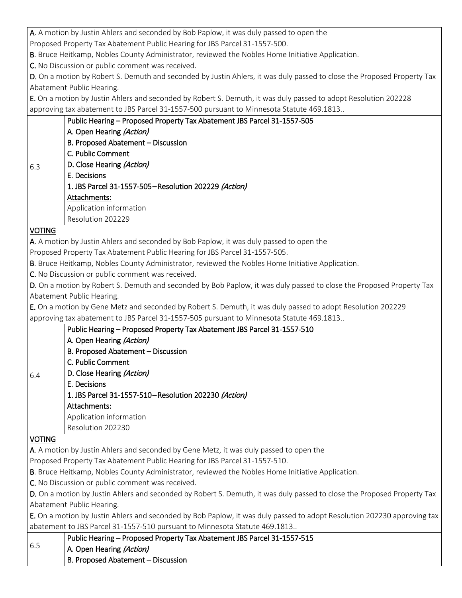|                                                                                                                         | A. A motion by Justin Ahlers and seconded by Bob Paplow, it was duly passed to open the                                 |  |
|-------------------------------------------------------------------------------------------------------------------------|-------------------------------------------------------------------------------------------------------------------------|--|
| Proposed Property Tax Abatement Public Hearing for JBS Parcel 31-1557-500.                                              |                                                                                                                         |  |
| B. Bruce Heitkamp, Nobles County Administrator, reviewed the Nobles Home Initiative Application.                        |                                                                                                                         |  |
|                                                                                                                         | C. No Discussion or public comment was received.                                                                        |  |
|                                                                                                                         | D. On a motion by Robert S. Demuth and seconded by Justin Ahlers, it was duly passed to close the Proposed Property Tax |  |
|                                                                                                                         | Abatement Public Hearing.                                                                                               |  |
|                                                                                                                         | E. On a motion by Justin Ahlers and seconded by Robert S. Demuth, it was duly passed to adopt Resolution 202228         |  |
|                                                                                                                         | approving tax abatement to JBS Parcel 31-1557-500 pursuant to Minnesota Statute 469.1813                                |  |
|                                                                                                                         | Public Hearing - Proposed Property Tax Abatement JBS Parcel 31-1557-505                                                 |  |
|                                                                                                                         | A. Open Hearing (Action)                                                                                                |  |
|                                                                                                                         | B. Proposed Abatement - Discussion                                                                                      |  |
|                                                                                                                         | C. Public Comment                                                                                                       |  |
| 6.3                                                                                                                     | D. Close Hearing (Action)                                                                                               |  |
|                                                                                                                         | E. Decisions                                                                                                            |  |
|                                                                                                                         | 1. JBS Parcel 31-1557-505-Resolution 202229 (Action)                                                                    |  |
|                                                                                                                         | Attachments:                                                                                                            |  |
|                                                                                                                         | Application information                                                                                                 |  |
|                                                                                                                         | Resolution 202229                                                                                                       |  |
| <b>VOTING</b>                                                                                                           |                                                                                                                         |  |
|                                                                                                                         | A. A motion by Justin Ahlers and seconded by Bob Paplow, it was duly passed to open the                                 |  |
|                                                                                                                         | Proposed Property Tax Abatement Public Hearing for JBS Parcel 31-1557-505.                                              |  |
|                                                                                                                         | B. Bruce Heitkamp, Nobles County Administrator, reviewed the Nobles Home Initiative Application.                        |  |
|                                                                                                                         | C. No Discussion or public comment was received.                                                                        |  |
|                                                                                                                         | D. On a motion by Robert S. Demuth and seconded by Bob Paplow, it was duly passed to close the Proposed Property Tax    |  |
|                                                                                                                         | Abatement Public Hearing.                                                                                               |  |
|                                                                                                                         | E. On a motion by Gene Metz and seconded by Robert S. Demuth, it was duly passed to adopt Resolution 202229             |  |
| approving tax abatement to JBS Parcel 31-1557-505 pursuant to Minnesota Statute 469.1813                                |                                                                                                                         |  |
|                                                                                                                         | Public Hearing - Proposed Property Tax Abatement JBS Parcel 31-1557-510                                                 |  |
|                                                                                                                         | A. Open Hearing (Action)                                                                                                |  |
|                                                                                                                         | B. Proposed Abatement - Discussion                                                                                      |  |
|                                                                                                                         | C. Public Comment                                                                                                       |  |
|                                                                                                                         | D. Close Hearing (Action)                                                                                               |  |
| 6.4                                                                                                                     | E. Decisions                                                                                                            |  |
|                                                                                                                         | 1. JBS Parcel 31-1557-510-Resolution 202230 (Action)                                                                    |  |
|                                                                                                                         | Attachments:                                                                                                            |  |
|                                                                                                                         | Application information                                                                                                 |  |
|                                                                                                                         | Resolution 202230                                                                                                       |  |
|                                                                                                                         |                                                                                                                         |  |
| <b>VOTING</b><br>A. A motion by Justin Ahlers and seconded by Gene Metz, it was duly passed to open the                 |                                                                                                                         |  |
|                                                                                                                         |                                                                                                                         |  |
| Proposed Property Tax Abatement Public Hearing for JBS Parcel 31-1557-510.                                              |                                                                                                                         |  |
| B. Bruce Heitkamp, Nobles County Administrator, reviewed the Nobles Home Initiative Application.                        |                                                                                                                         |  |
| C. No Discussion or public comment was received.                                                                        |                                                                                                                         |  |
| D. On a motion by Justin Ahlers and seconded by Robert S. Demuth, it was duly passed to close the Proposed Property Tax |                                                                                                                         |  |
| Abatement Public Hearing.                                                                                               |                                                                                                                         |  |
| E. On a motion by Justin Ahlers and seconded by Bob Paplow, it was duly passed to adopt Resolution 202230 approving tax |                                                                                                                         |  |
| abatement to JBS Parcel 31-1557-510 pursuant to Minnesota Statute 469.1813                                              |                                                                                                                         |  |
| 6.5                                                                                                                     | Public Hearing - Proposed Property Tax Abatement JBS Parcel 31-1557-515                                                 |  |
|                                                                                                                         | A. Open Hearing (Action)                                                                                                |  |

B. Proposed Abatement – Discussion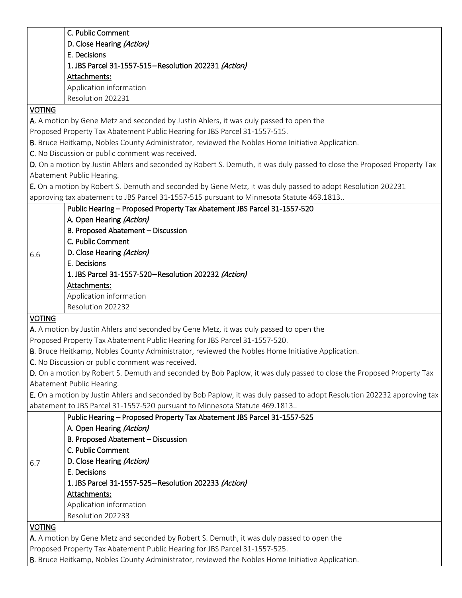|               | C. Public Comment                                                                                                       |
|---------------|-------------------------------------------------------------------------------------------------------------------------|
|               | D. Close Hearing (Action)                                                                                               |
|               | E. Decisions                                                                                                            |
|               | 1. JBS Parcel 31-1557-515-Resolution 202231 (Action)                                                                    |
|               | Attachments:                                                                                                            |
|               | Application information                                                                                                 |
|               | Resolution 202231                                                                                                       |
| <b>VOTING</b> |                                                                                                                         |
|               | A. A motion by Gene Metz and seconded by Justin Ahlers, it was duly passed to open the                                  |
|               | Proposed Property Tax Abatement Public Hearing for JBS Parcel 31-1557-515.                                              |
|               | B. Bruce Heitkamp, Nobles County Administrator, reviewed the Nobles Home Initiative Application.                        |
|               | C. No Discussion or public comment was received.                                                                        |
|               | D. On a motion by Justin Ahlers and seconded by Robert S. Demuth, it was duly passed to close the Proposed Property Tax |
|               | Abatement Public Hearing.                                                                                               |
|               | E. On a motion by Robert S. Demuth and seconded by Gene Metz, it was duly passed to adopt Resolution 202231             |
|               | approving tax abatement to JBS Parcel 31-1557-515 pursuant to Minnesota Statute 469.1813                                |
|               | Public Hearing - Proposed Property Tax Abatement JBS Parcel 31-1557-520                                                 |
|               | A. Open Hearing (Action)                                                                                                |
|               | B. Proposed Abatement - Discussion                                                                                      |
|               | C. Public Comment                                                                                                       |
|               | D. Close Hearing (Action)                                                                                               |
| 6.6           | E. Decisions                                                                                                            |
|               | 1. JBS Parcel 31-1557-520-Resolution 202232 (Action)                                                                    |
|               | Attachments:                                                                                                            |
|               | Application information                                                                                                 |
|               |                                                                                                                         |
|               |                                                                                                                         |
|               | Resolution 202232                                                                                                       |
| <b>VOTING</b> |                                                                                                                         |
|               | A. A motion by Justin Ahlers and seconded by Gene Metz, it was duly passed to open the                                  |
|               | Proposed Property Tax Abatement Public Hearing for JBS Parcel 31-1557-520.                                              |
|               | B. Bruce Heitkamp, Nobles County Administrator, reviewed the Nobles Home Initiative Application.                        |
|               | C. No Discussion or public comment was received.                                                                        |
|               | D. On a motion by Robert S. Demuth and seconded by Bob Paplow, it was duly passed to close the Proposed Property Tax    |
|               | Abatement Public Hearing.                                                                                               |
|               | E. On a motion by Justin Ahlers and seconded by Bob Paplow, it was duly passed to adopt Resolution 202232 approving tax |
|               | abatement to JBS Parcel 31-1557-520 pursuant to Minnesota Statute 469.1813                                              |
|               | Public Hearing - Proposed Property Tax Abatement JBS Parcel 31-1557-525                                                 |
|               | A. Open Hearing (Action)                                                                                                |
|               | B. Proposed Abatement - Discussion                                                                                      |
|               | C. Public Comment                                                                                                       |
| 6.7           | D. Close Hearing (Action)                                                                                               |
|               | E. Decisions                                                                                                            |
|               | 1. JBS Parcel 31-1557-525-Resolution 202233 (Action)                                                                    |
|               | Attachments:                                                                                                            |
|               | Application information                                                                                                 |
|               | Resolution 202233                                                                                                       |
| <b>VOTING</b> |                                                                                                                         |
|               | A. A motion by Gene Metz and seconded by Robert S. Demuth, it was duly passed to open the                               |
|               | Proposed Property Tax Abatement Public Hearing for JBS Parcel 31-1557-525.                                              |

B. Bruce Heitkamp, Nobles County Administrator, reviewed the Nobles Home Initiative Application.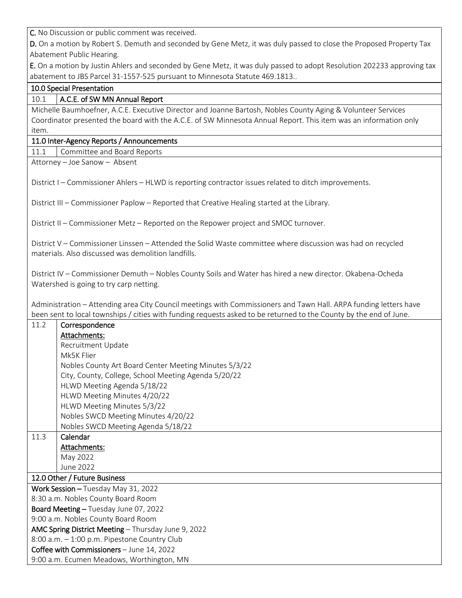C. No Discussion or public comment was received.

D. On a motion by Robert S. Demuth and seconded by Gene Metz, it was duly passed to close the Proposed Property Tax Abatement Public Hearing.

E. On a motion by Justin Ahlers and seconded by Gene Metz, it was duly passed to adopt Resolution 202233 approving tax abatement to JBS Parcel 31-1557-525 pursuant to Minnesota Statute 469.1813..

### 10.0 Special Presentation

### 10.1 | A.C.E. of SW MN Annual Report

Michelle Baumhoefner, A.C.E. Executive Director and Joanne Bartosh, Nobles County Aging & Volunteer Services Coordinator presented the board with the A.C.E. of SW Minnesota Annual Report. This item was an information only item.

### 11.0 Inter-Agency Reports / Announcements

11.1 | Committee and Board Reports

Attorney – Joe Sanow – Absent

District I – Commissioner Ahlers – HLWD is reporting contractor issues related to ditch improvements.

District III – Commissioner Paplow – Reported that Creative Healing started at the Library.

District II – Commissioner Metz – Reported on the Repower project and SMOC turnover.

District V – Commissioner Linssen – Attended the Solid Waste committee where discussion was had on recycled materials. Also discussed was demolition landfills.

District IV – Commissioner Demuth – Nobles County Soils and Water has hired a new director. Okabena-Ocheda Watershed is going to try carp netting.

Administration – Attending area City Council meetings with Commissioners and Tawn Hall. ARPA funding letters have been sent to local townships / cities with funding requests asked to be returned to the County by the end of June.

| 11.2 | Correspondence                                        |
|------|-------------------------------------------------------|
|      | Attachments:                                          |
|      | Recruitment Update                                    |
|      | Mk5K Flier                                            |
|      | Nobles County Art Board Center Meeting Minutes 5/3/22 |
|      | City, County, College, School Meeting Agenda 5/20/22  |
|      | HLWD Meeting Agenda 5/18/22                           |
|      | HLWD Meeting Minutes 4/20/22                          |
|      | HLWD Meeting Minutes 5/3/22                           |
|      | Nobles SWCD Meeting Minutes 4/20/22                   |
|      | Nobles SWCD Meeting Agenda 5/18/22                    |
| 11.3 | Calendar                                              |
|      | Attachments:                                          |
|      | May 2022                                              |
|      | June 2022                                             |
|      | 12.0 Other / Future Business                          |
|      | Work Session - Tuesday May 31, 2022                   |
|      | 8:30 a.m. Nobles County Board Room                    |
|      | Board Meeting - Tuesday June 07, 2022                 |
|      | 9:00 a.m. Nobles County Board Room                    |
|      | AMC Spring District Meeting - Thursday June 9, 2022   |
|      | 8:00 a.m. - 1:00 p.m. Pipestone Country Club          |
|      | Coffee with Commissioners - June 14, 2022             |
|      | 9:00 a.m. Ecumen Meadows, Worthington, MN             |